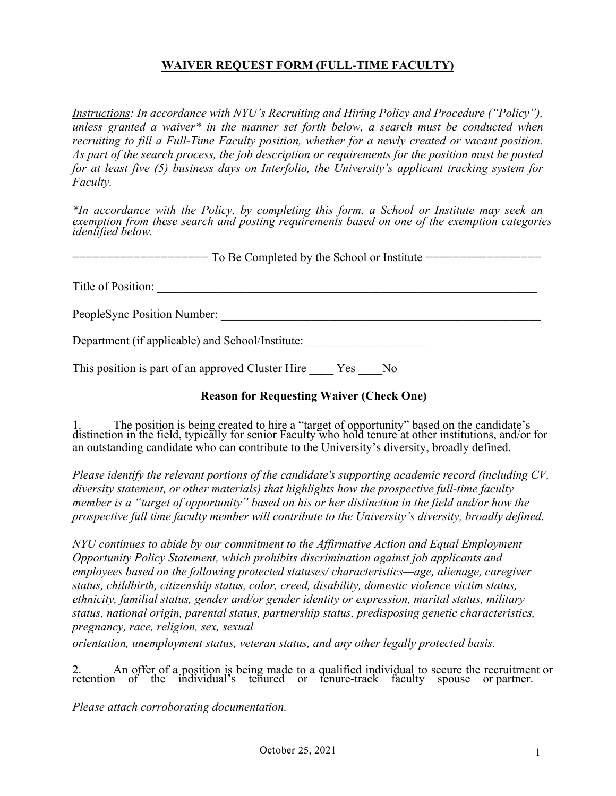## **WAIVER REQUEST FORM (FULL-TIME FACULTY)**

*Instructions: In accordance with NYU's Recruiting and Hiring Policy and Procedure ("Policy"), unless granted a waiver\* in the manner set forth below, a search must be conducted when recruiting to fill a Full-Time Faculty position, whether for a newly created or vacant position. As part of the search process, the job description or requirements for the position must be posted for at least five (5) business days on Interfolio, the University's applicant tracking system for Faculty.* 

*\*In accordance with the Policy, by completing this form, a School or Institute may seek an exemption from these search and posting requirements based on one of the exemption categories identified below.*

=================== To Be Completed by the School or Institute ==================

Title of Position: \_\_\_\_\_\_\_\_\_\_\_\_\_\_\_\_\_\_\_\_\_\_\_\_\_\_\_\_\_\_\_\_\_\_\_\_\_\_\_\_\_\_\_\_\_\_\_\_\_\_\_\_\_\_\_\_\_\_\_\_\_\_\_

PeopleSync Position Number:

Department (if applicable) and School/Institute:

This position is part of an approved Cluster Hire Yes No

## **Reason for Requesting Waiver (Check One)**

1. \_\_\_\_ The position is being created to hire a "target of opportunity" based on the candidate's distinction in the field, typically for senior Faculty who hold tenure at other institutions, and/or for an outstanding candidate who can contribute to the University's diversity, broadly defined.

*Please identify the relevant portions of the candidate's supporting academic record (including CV, diversity statement, or other materials) that highlights how the prospective full-time faculty member is a "target of opportunity" based on his or her distinction in the field and/or how the prospective full time faculty member will contribute to the University's diversity, broadly defined.* 

*NYU continues to abide by our commitment to the Affirmative Action and Equal Employment Opportunity Policy Statement, which prohibits discrimination against job applicants and employees based on the following protected statuses/ characteristics—age, alienage, caregiver status, childbirth, citizenship status, color, creed, disability, domestic violence victim status, ethnicity, familial status, gender and/or gender identity or expression, marital status, military status, national origin, parental status, partnership status, predisposing genetic characteristics, pregnancy, race, religion, sex, sexual* 

*orientation, unemployment status, veteran status, and any other legally protected basis.*

2. \_\_\_\_ An offer of a position is being made to a qualified individual to secure the recruitment or retention of the individual's tenured or tenure-track faculty spouse or partner.

*Please attach corroborating documentation.*